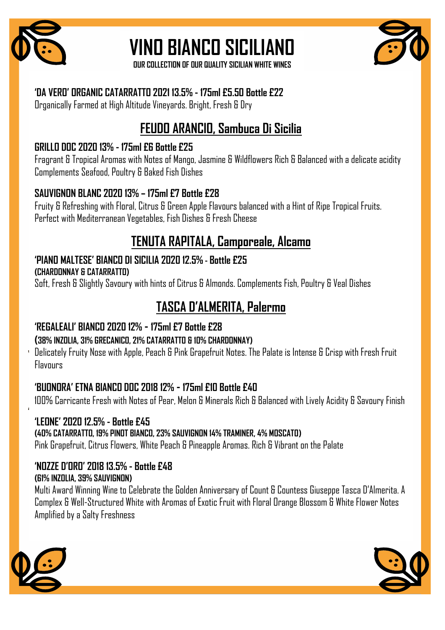

## **VINO BIANCO SICILIANO**

**OUR COLLECTION OF OUR QUALITY SICILIAN WHITE WINES** 

### **'DA VERO' ORGANIC CATARRATTO 2021 13.5% - 175ml £5.50 Bottle £22**

Organically Farmed at High Altitude Vineyards. Bright, Fresh & Dry

## **FEUDO ARANCIO, Sambuca Di Sicilia**

## **GRILLO DOC 2020 13% - 175ml £6 Bottle £25**

Fragrant & Tropical Aromas with Notes of Mango, Jasmine & Wildflowers Rich & Balanced with a delicate acidity Complements Seafood, Poultry & Baked Fish Dishes

## **SAUVIGNON BLANC 2020 13% – 175ml £7 Bottle £28**

Fruity & Refreshing with Floral, Citrus & Green Apple Flavours balanced with a Hint of Ripe Tropical Fruits. Perfect with Mediterranean Vegetables, Fish Dishes & Fresh Cheese

## **TENUTA RAPITALA, Camporeale, Alcamo**

## **'PIANO MALTESE' BIANCO DI SICILIA 2020 12.5% - Bottle £25**

**(CHARDONNAY & CATARRATTO)**

Soft, Fresh & Slightly Savoury with hints of Citrus & Almonds. Complements Fish, Poultry & Veal Dishes

## **TASCA D'ALMERITA, Palermo**

## **'REGALEALI' BIANCO 2020 12% - 175ml £7 Bottle £28**

## **(38% INZOLIA, 31% GRECANICO, 21% CATARRATTO & 10% CHARDONNAY)**

Delicately Fruity Nose with Apple, Peach & Pink Grapefruit Notes. The Palate is Intense & Crisp with Fresh Fruit **Flavours** 

## **'BUONORA' ETNA BIANCO DOC 2018 12% - 175ml £10 Bottle £40**

100% Carricante Fresh with Notes of Pear, Melon & Minerals Rich & Balanced with Lively Acidity & Savoury Finish

#### **'LEONE' 2020 12.5% - Bottle £45 (40% CATARRATTO, 19% PINOT BIANCO, 23% SAUVIGNON 14% TRAMINER, 4% MOSCATO)** Pink Grapefruit, Citrus Flowers, White Peach & Pineapple Aromas. Rich & Vibrant on the Palate

#### **'NOZZE D'ORO' 2018 13.5% - Bottle £48 (61% INZOLIA, 39% SAUVIGNON)**

Multi Award Winning Wine to Celebrate the Golden Anniversary of Count & Countess Giuseppe Tasca D'Almerita. A Complex & Well-Structured White with Aromas of Exotic Fruit with Floral Orange Blossom & White Flower Notes Amplified by a Salty Freshness



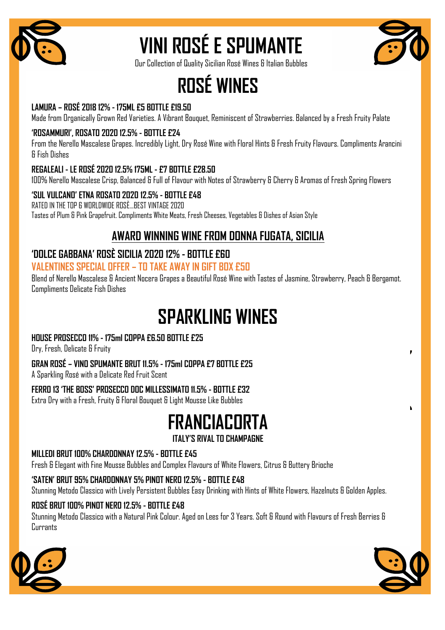

# **VINI ROSÉ E SPUMANTE**



Our Collection of Quality Sicilian Rosé Wines & Italian Bubbles

## **ROSÉ WINES**

#### LAMURA - ROSÉ 2018 12% - 175ML £5 BOTTLE £19.50

Made from Organically Grown Red Varieties. A Vibrant Bouquet, Reminiscent of Strawberries. Balanced by a Fresh Fruity Palate

#### 'ROSAMMURI', ROSATO 2020 12.5% - BOTTLE £24

From the Nerello Mascalese Grapes, Incredibly Light, Dry Rosé Wine with Floral Hints & Fresh Fruity Flavours. Compliments Arancini **& Fish Dishes** 

#### REGALEALI - LE ROSÉ 2020 12.5% 175ML - £7 BOTTLE £28.50

100% Nerello Mascalese Crisp, Balanced & Full of Flavour with Notes of Strawberry & Cherry & Aromas of Fresh Spring Flowers

#### 'SUL VULCANO' ETNA ROSATO 2020 12.5% - BOTTLE £48 RATED IN THE TOP 6 WORLDWIDE ROSÈ...BEST VINTAGE 2020

Tastes of Plum & Pink Grapefruit. Compliments White Meats, Fresh Cheeses, Vegetables & Dishes of Asian Style

## **AWARD WINNING WINE FROM DONNA FUGATA, SICILIA**

#### 'DOLCE GABBANA' ROSÈ SICILIA 2020 12% - BOTTLE £60 **VALENTINES SPECIAL OFFER - TO TAKE AWAY IN GIFT BOX ESD**

Blend of Nerello Mascalese & Ancient Nocera Grapes a Beautiful Rosé Wine with Tastes of Jasmine, Strawberry, Peach & Bergamot. **Compliments Delicate Fish Dishes** 

## **SPARKLING WINES**

#### HOUSE PROSECCO 11% - 175ml COPPA £6.50 BOTTLE £25

Dry, Fresh, Delicate & Fruity

#### GRAN ROSÉ - VIND SPUMANTE BRUT 11.5% - 175ml COPPA £7 BOTTLE £25

A Sparkling Rosé with a Delicate Red Fruit Scent

#### FERRO 13 'THE BOSS' PROSECCO DOC MILLESSIMATO 11.5% - BOTTLE £32

Extra Dry with a Fresh, Fruity & Floral Bouquet & Light Mousse Like Bubbles

## **FRANCIACORTA**

#### **ITALY'S RIVAL TO CHAMPAGNE**

#### MILLEDI BRUT 100% CHARDONNAY 12.5% - BOTTLE £45

Fresh & Elegant with Fine Mousse Bubbles and Complex Flavours of White Flowers, Citrus & Buttery Brioche

#### 'SATEN' BRUT 95% CHARDONNAY 5% PINOT NERO 12.5% - BOTTLE £48

Stunning Metodo Classico with Lively Persistent Bubbles Easy Drinking with Hints of White Flowers, Hazelnuts & Golden Apples.

#### ROSÉ BRUT 100% PINOT NERO 12.5% - BOTTLE £48

Stunning Metodo Classico with a Natural Pink Colour. Aged on Lees for 3 Years. Soft & Round with Flavours of Fresh Berries & Currants